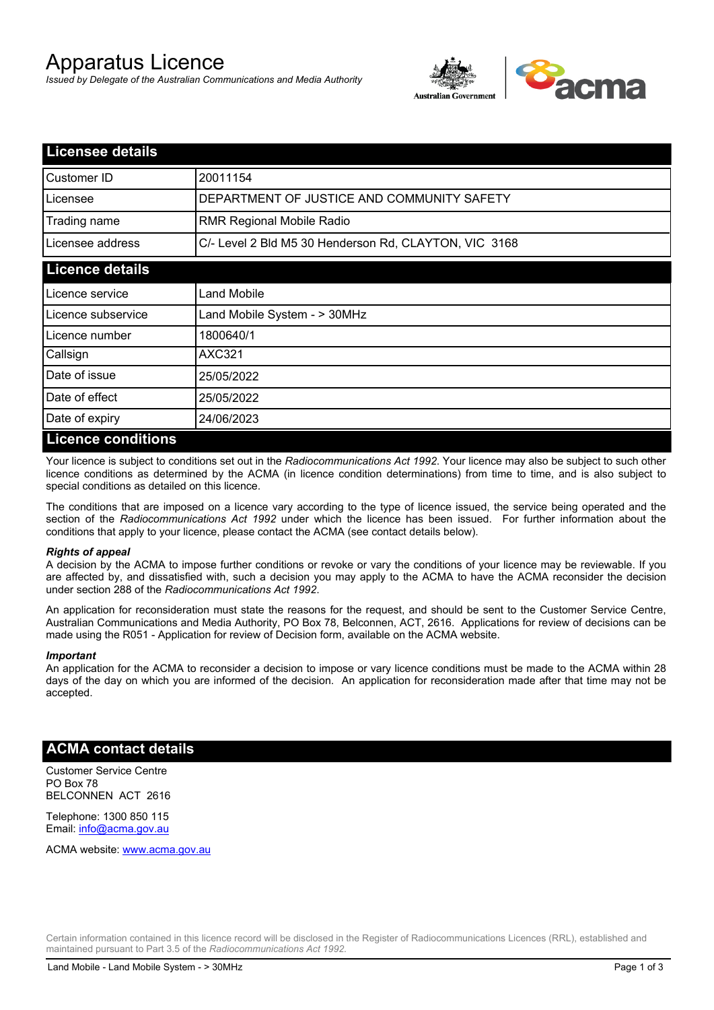# Apparatus Licence

*Issued by Delegate of the Australian Communications and Media Authority*



| <b>Licensee details</b> |                                                       |
|-------------------------|-------------------------------------------------------|
| Customer ID             | 20011154                                              |
| Licensee                | DEPARTMENT OF JUSTICE AND COMMUNITY SAFETY            |
| Trading name            | <b>RMR Regional Mobile Radio</b>                      |
| Licensee address        | C/- Level 2 Bld M5 30 Henderson Rd, CLAYTON, VIC 3168 |
| <b>Licence details</b>  |                                                       |
| l Licence service       | <b>Land Mobile</b>                                    |
| Licence subservice      | Land Mobile System - > 30MHz                          |
| Licence number          | 1800640/1                                             |
| Callsign                | <b>AXC321</b>                                         |
| Date of issue           | 25/05/2022                                            |
| Date of effect          | 25/05/2022                                            |
| Date of expiry          | 24/06/2023                                            |
| Licance conditions      |                                                       |

### **Licence conditions**

Your licence is subject to conditions set out in the *Radiocommunications Act 1992*. Your licence may also be subject to such other licence conditions as determined by the ACMA (in licence condition determinations) from time to time, and is also subject to special conditions as detailed on this licence.

The conditions that are imposed on a licence vary according to the type of licence issued, the service being operated and the section of the *Radiocommunications Act 1992* under which the licence has been issued. For further information about the conditions that apply to your licence, please contact the ACMA (see contact details below).

### *Rights of appeal*

A decision by the ACMA to impose further conditions or revoke or vary the conditions of your licence may be reviewable. If you are affected by, and dissatisfied with, such a decision you may apply to the ACMA to have the ACMA reconsider the decision under section 288 of the *Radiocommunications Act 1992*.

An application for reconsideration must state the reasons for the request, and should be sent to the Customer Service Centre, Australian Communications and Media Authority, PO Box 78, Belconnen, ACT, 2616. Applications for review of decisions can be made using the R051 - Application for review of Decision form, available on the ACMA website.

#### *Important*

An application for the ACMA to reconsider a decision to impose or vary licence conditions must be made to the ACMA within 28 days of the day on which you are informed of the decision. An application for reconsideration made after that time may not be accepted.

### **ACMA contact details**

Customer Service Centre PO Box 78 BELCONNEN ACT 2616

Telephone: 1300 850 115 Email: info@acma.gov.au

ACMA website: www.acma.gov.au

Certain information contained in this licence record will be disclosed in the Register of Radiocommunications Licences (RRL), established and maintained pursuant to Part 3.5 of the *Radiocommunications Act 1992.*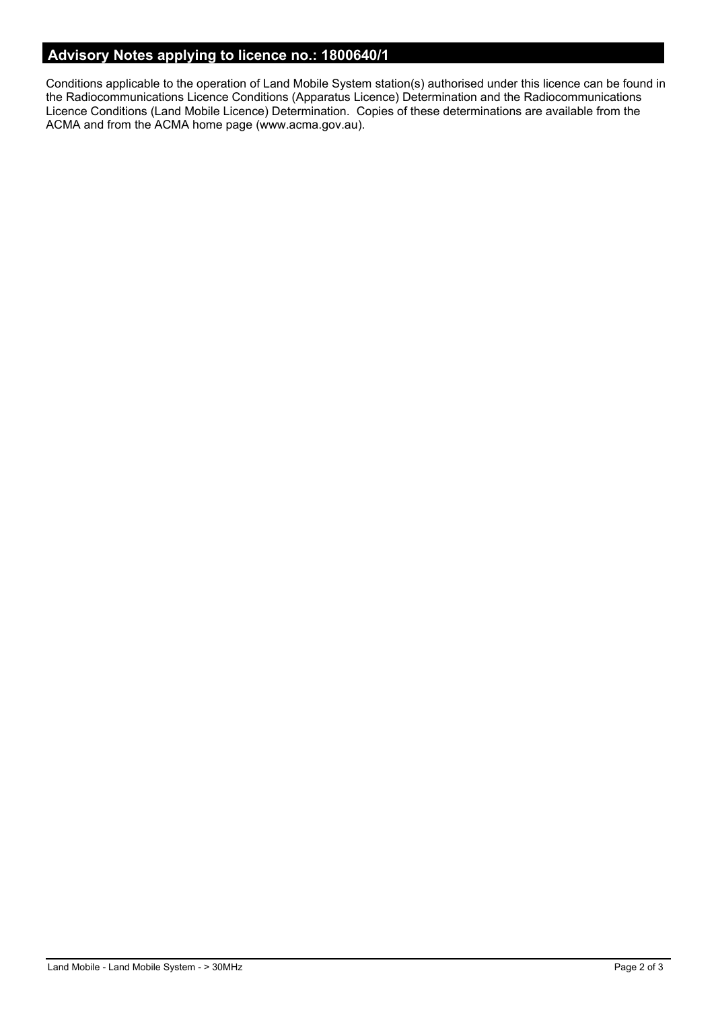# **Advisory Notes applying to licence no.: 1800640/1**

Conditions applicable to the operation of Land Mobile System station(s) authorised under this licence can be found in the Radiocommunications Licence Conditions (Apparatus Licence) Determination and the Radiocommunications Licence Conditions (Land Mobile Licence) Determination. Copies of these determinations are available from the ACMA and from the ACMA home page (www.acma.gov.au).